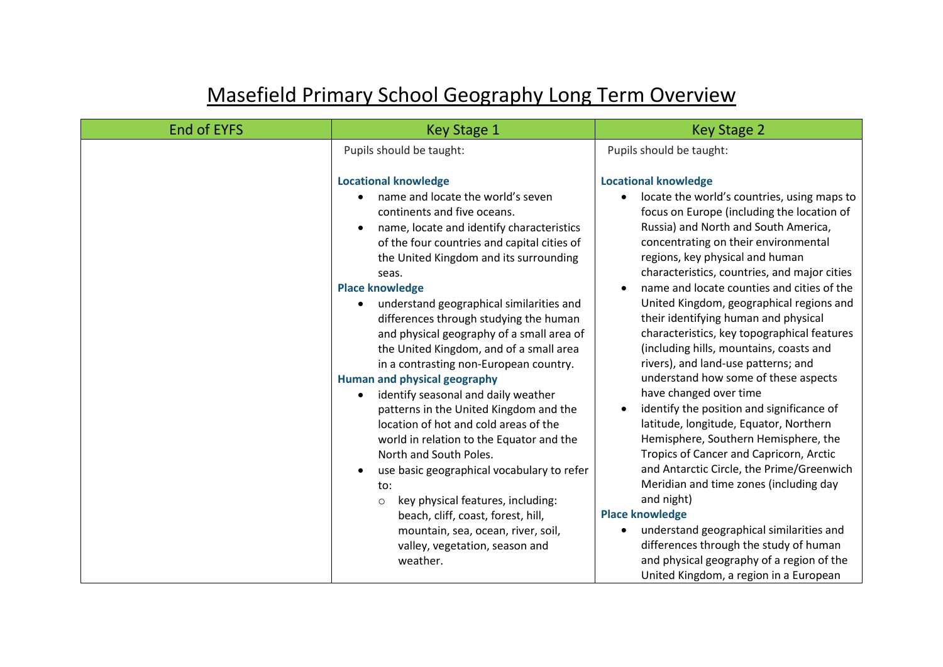## Masefield Primary School Geography Long Term Overview

| <b>End of EYFS</b> | Key Stage 1                                                                                                                                                                                                                                                                                                                                                                                                                                                                                                                                                                                                                                                                                                                                                                                                                                                                                                                                                            | <b>Key Stage 2</b>                                                                                                                                                                                                                                                                                                                                                                                                                                                                                                                                                                                                                                                                                                                                                                                                                                                                                                                                                                                                                                                                                                     |  |
|--------------------|------------------------------------------------------------------------------------------------------------------------------------------------------------------------------------------------------------------------------------------------------------------------------------------------------------------------------------------------------------------------------------------------------------------------------------------------------------------------------------------------------------------------------------------------------------------------------------------------------------------------------------------------------------------------------------------------------------------------------------------------------------------------------------------------------------------------------------------------------------------------------------------------------------------------------------------------------------------------|------------------------------------------------------------------------------------------------------------------------------------------------------------------------------------------------------------------------------------------------------------------------------------------------------------------------------------------------------------------------------------------------------------------------------------------------------------------------------------------------------------------------------------------------------------------------------------------------------------------------------------------------------------------------------------------------------------------------------------------------------------------------------------------------------------------------------------------------------------------------------------------------------------------------------------------------------------------------------------------------------------------------------------------------------------------------------------------------------------------------|--|
|                    | Pupils should be taught:                                                                                                                                                                                                                                                                                                                                                                                                                                                                                                                                                                                                                                                                                                                                                                                                                                                                                                                                               | Pupils should be taught:                                                                                                                                                                                                                                                                                                                                                                                                                                                                                                                                                                                                                                                                                                                                                                                                                                                                                                                                                                                                                                                                                               |  |
|                    | <b>Locational knowledge</b><br>name and locate the world's seven<br>continents and five oceans.<br>name, locate and identify characteristics<br>of the four countries and capital cities of<br>the United Kingdom and its surrounding<br>seas.<br><b>Place knowledge</b><br>understand geographical similarities and<br>differences through studying the human<br>and physical geography of a small area of<br>the United Kingdom, and of a small area<br>in a contrasting non-European country.<br><b>Human and physical geography</b><br>identify seasonal and daily weather<br>patterns in the United Kingdom and the<br>location of hot and cold areas of the<br>world in relation to the Equator and the<br>North and South Poles.<br>use basic geographical vocabulary to refer<br>to:<br>key physical features, including:<br>$\circ$<br>beach, cliff, coast, forest, hill,<br>mountain, sea, ocean, river, soil,<br>valley, vegetation, season and<br>weather. | <b>Locational knowledge</b><br>locate the world's countries, using maps to<br>focus on Europe (including the location of<br>Russia) and North and South America,<br>concentrating on their environmental<br>regions, key physical and human<br>characteristics, countries, and major cities<br>name and locate counties and cities of the<br>United Kingdom, geographical regions and<br>their identifying human and physical<br>characteristics, key topographical features<br>(including hills, mountains, coasts and<br>rivers), and land-use patterns; and<br>understand how some of these aspects<br>have changed over time<br>identify the position and significance of<br>latitude, longitude, Equator, Northern<br>Hemisphere, Southern Hemisphere, the<br>Tropics of Cancer and Capricorn, Arctic<br>and Antarctic Circle, the Prime/Greenwich<br>Meridian and time zones (including day<br>and night)<br><b>Place knowledge</b><br>understand geographical similarities and<br>differences through the study of human<br>and physical geography of a region of the<br>United Kingdom, a region in a European |  |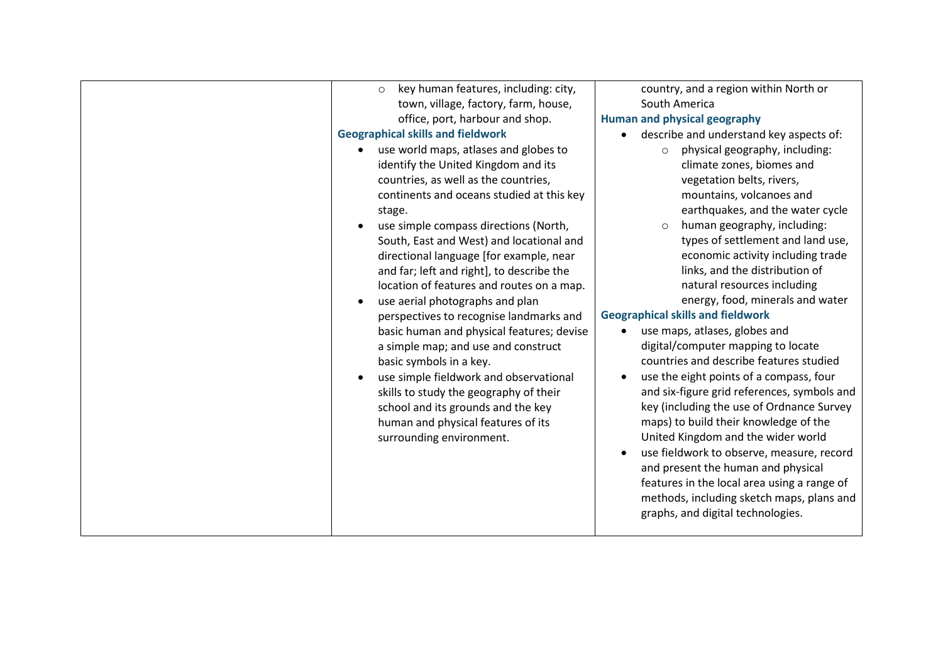| key human features, including: city,<br>$\circ$<br>town, village, factory, farm, house,<br>office, port, harbour and shop.<br><b>Geographical skills and fieldwork</b><br>use world maps, atlases and globes to                                                                                                                                                                                 | country, and a region within North or<br>South America<br><b>Human and physical geography</b><br>describe and understand key aspects of:<br>$\bullet$<br>physical geography, including:<br>$\circ$                                                                                                                                                                                                                                                                                                                                                                                                                             |  |
|-------------------------------------------------------------------------------------------------------------------------------------------------------------------------------------------------------------------------------------------------------------------------------------------------------------------------------------------------------------------------------------------------|--------------------------------------------------------------------------------------------------------------------------------------------------------------------------------------------------------------------------------------------------------------------------------------------------------------------------------------------------------------------------------------------------------------------------------------------------------------------------------------------------------------------------------------------------------------------------------------------------------------------------------|--|
| identify the United Kingdom and its<br>countries, as well as the countries,<br>continents and oceans studied at this key<br>stage.<br>use simple compass directions (North,<br>South, East and West) and locational and<br>directional language [for example, near<br>and far; left and right], to describe the<br>location of features and routes on a map.<br>use aerial photographs and plan | climate zones, biomes and<br>vegetation belts, rivers,<br>mountains, volcanoes and<br>earthquakes, and the water cycle<br>human geography, including:<br>$\circ$<br>types of settlement and land use,<br>economic activity including trade<br>links, and the distribution of<br>natural resources including<br>energy, food, minerals and water                                                                                                                                                                                                                                                                                |  |
| perspectives to recognise landmarks and<br>basic human and physical features; devise<br>a simple map; and use and construct<br>basic symbols in a key.<br>use simple fieldwork and observational<br>skills to study the geography of their<br>school and its grounds and the key<br>human and physical features of its<br>surrounding environment.                                              | <b>Geographical skills and fieldwork</b><br>use maps, atlases, globes and<br>$\bullet$<br>digital/computer mapping to locate<br>countries and describe features studied<br>use the eight points of a compass, four<br>and six-figure grid references, symbols and<br>key (including the use of Ordnance Survey<br>maps) to build their knowledge of the<br>United Kingdom and the wider world<br>use fieldwork to observe, measure, record<br>$\bullet$<br>and present the human and physical<br>features in the local area using a range of<br>methods, including sketch maps, plans and<br>graphs, and digital technologies. |  |